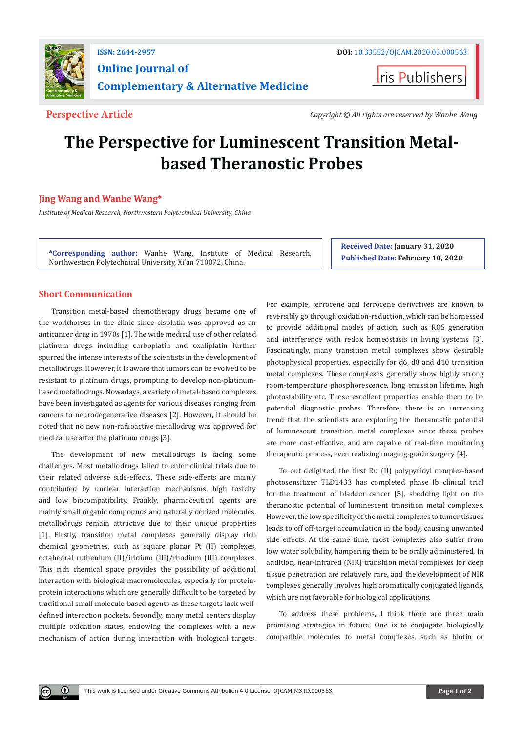

**Iris Publishers** 

**Perspective Article** *Copyright © All rights are reserved by Wanhe Wang*

# **The Perspective for Luminescent Transition Metalbased Theranostic Probes**

# **Jing Wang and Wanhe Wang\***

*Institute of Medical Research, Northwestern Polytechnical University, China*

**\*Corresponding author:** Wanhe Wang, Institute of Medical Research, Northwestern Polytechnical University, Xi'an 710072, China.

**Received Date: January 31, 2020 Published Date: February 10, 2020**

# **Short Communication**

 $\bf \Theta$ 

Transition metal-based chemotherapy drugs became one of the workhorses in the clinic since cisplatin was approved as an anticancer drug in 1970s [1]. The wide medical use of other related platinum drugs including carboplatin and oxaliplatin further spurred the intense interests of the scientists in the development of metallodrugs. However, it is aware that tumors can be evolved to be resistant to platinum drugs, prompting to develop non-platinumbased metallodrugs. Nowadays, a variety of metal-based complexes have been investigated as agents for various diseases ranging from cancers to neurodegenerative diseases [2]. However, it should be noted that no new non-radioactive metallodrug was approved for medical use after the platinum drugs [3].

The development of new metallodrugs is facing some challenges. Most metallodrugs failed to enter clinical trials due to their related adverse side-effects. These side-effects are mainly contributed by unclear interaction mechanisms, high toxicity and low biocompatibility. Frankly, pharmaceutical agents are mainly small organic compounds and naturally derived molecules, metallodrugs remain attractive due to their unique properties [1]. Firstly, transition metal complexes generally display rich chemical geometries, such as square planar Pt (II) complexes, octahedral ruthenium (II)/iridium (III)/rhodium (III) complexes. This rich chemical space provides the possibility of additional interaction with biological macromolecules, especially for proteinprotein interactions which are generally difficult to be targeted by traditional small molecule-based agents as these targets lack welldefined interaction pockets. Secondly, many metal centers display multiple oxidation states, endowing the complexes with a new mechanism of action during interaction with biological targets.

For example, ferrocene and ferrocene derivatives are known to reversibly go through oxidation-reduction, which can be harnessed to provide additional modes of action, such as ROS generation and interference with redox homeostasis in living systems [3]. Fascinatingly, many transition metal complexes show desirable photophysical properties, especially for d6, d8 and d10 transition metal complexes. These complexes generally show highly strong room-temperature phosphorescence, long emission lifetime, high photostability etc. These excellent properties enable them to be potential diagnostic probes. Therefore, there is an increasing trend that the scientists are exploring the theranostic potential of luminescent transition metal complexes since these probes are more cost-effective, and are capable of real-time monitoring therapeutic process, even realizing imaging-guide surgery [4].

To out delighted, the first Ru (II) polypyridyl complex-based photosensitizer TLD1433 has completed phase Ib clinical trial for the treatment of bladder cancer [5], shedding light on the theranostic potential of luminescent transition metal complexes. However, the low specificity of the metal complexes to tumor tissues leads to off off-target accumulation in the body, causing unwanted side effects. At the same time, most complexes also suffer from low water solubility, hampering them to be orally administered. In addition, near-infrared (NIR) transition metal complexes for deep tissue penetration are relatively rare, and the development of NIR complexes generally involves high aromatically conjugated ligands, which are not favorable for biological applications.

To address these problems, I think there are three main promising strategies in future. One is to conjugate biologically compatible molecules to metal complexes, such as biotin or